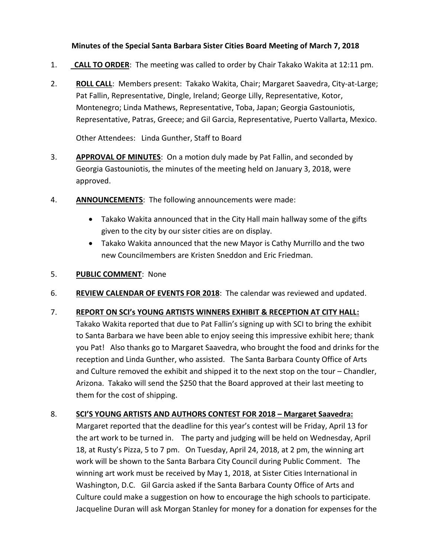## **Minutes of the Special Santa Barbara Sister Cities Board Meeting of March 7, 2018**

- 1. **CALL TO ORDER**: The meeting was called to order by Chair Takako Wakita at 12:11 pm.
- 2. **ROLL CALL**: Members present: Takako Wakita, Chair; Margaret Saavedra, City-at-Large; Pat Fallin, Representative, Dingle, Ireland; George Lilly, Representative, Kotor, Montenegro; Linda Mathews, Representative, Toba, Japan; Georgia Gastouniotis, Representative, Patras, Greece; and Gil Garcia, Representative, Puerto Vallarta, Mexico.

Other Attendees: Linda Gunther, Staff to Board

- 3. **APPROVAL OF MINUTES**: On a motion duly made by Pat Fallin, and seconded by Georgia Gastouniotis, the minutes of the meeting held on January 3, 2018, were approved.
- 4. **ANNOUNCEMENTS**: The following announcements were made:
	- Takako Wakita announced that in the City Hall main hallway some of the gifts given to the city by our sister cities are on display.
	- Takako Wakita announced that the new Mayor is Cathy Murrillo and the two new Councilmembers are Kristen Sneddon and Eric Friedman.
- 5. **PUBLIC COMMENT**: None
- 6. **REVIEW CALENDAR OF EVENTS FOR 2018**: The calendar was reviewed and updated.

### 7. **REPORT ON SCI's YOUNG ARTISTS WINNERS EXHIBIT & RECEPTION AT CITY HALL:**

Takako Wakita reported that due to Pat Fallin's signing up with SCI to bring the exhibit to Santa Barbara we have been able to enjoy seeing this impressive exhibit here; thank you Pat! Also thanks go to Margaret Saavedra, who brought the food and drinks for the reception and Linda Gunther, who assisted. The Santa Barbara County Office of Arts and Culture removed the exhibit and shipped it to the next stop on the tour – Chandler, Arizona. Takako will send the \$250 that the Board approved at their last meeting to them for the cost of shipping.

### 8. **SCI'S YOUNG ARTISTS AND AUTHORS CONTEST FOR 2018 – Margaret Saavedra:**

Margaret reported that the deadline for this year's contest will be Friday, April 13 for the art work to be turned in. The party and judging will be held on Wednesday, April 18, at Rusty's Pizza, 5 to 7 pm. On Tuesday, April 24, 2018, at 2 pm, the winning art work will be shown to the Santa Barbara City Council during Public Comment. The winning art work must be received by May 1, 2018, at Sister Cities International in Washington, D.C. Gil Garcia asked if the Santa Barbara County Office of Arts and Culture could make a suggestion on how to encourage the high schools to participate. Jacqueline Duran will ask Morgan Stanley for money for a donation for expenses for the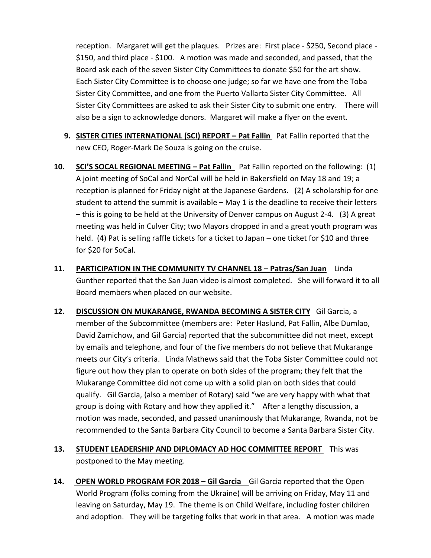reception. Margaret will get the plaques. Prizes are: First place - \$250, Second place - \$150, and third place - \$100. A motion was made and seconded, and passed, that the Board ask each of the seven Sister City Committees to donate \$50 for the art show. Each Sister City Committee is to choose one judge; so far we have one from the Toba Sister City Committee, and one from the Puerto Vallarta Sister City Committee. All Sister City Committees are asked to ask their Sister City to submit one entry. There will also be a sign to acknowledge donors. Margaret will make a flyer on the event.

- **9. SISTER CITIES INTERNATIONAL (SCI) REPORT – Pat Fallin** Pat Fallin reported that the new CEO, Roger-Mark De Souza is going on the cruise.
- **10. SCI'S SOCAL REGIONAL MEETING – Pat Fallin** Pat Fallin reported on the following: (1) A joint meeting of SoCal and NorCal will be held in Bakersfield on May 18 and 19; a reception is planned for Friday night at the Japanese Gardens. (2) A scholarship for one student to attend the summit is available – May 1 is the deadline to receive their letters – this is going to be held at the University of Denver campus on August 2-4. (3) A great meeting was held in Culver City; two Mayors dropped in and a great youth program was held. (4) Pat is selling raffle tickets for a ticket to Japan – one ticket for \$10 and three for \$20 for SoCal.
- **11. PARTICIPATION IN THE COMMUNITY TV CHANNEL 18 – Patras/San Juan** Linda Gunther reported that the San Juan video is almost completed. She will forward it to all Board members when placed on our website.
- **12. DISCUSSION ON MUKARANGE, RWANDA BECOMING A SISTER CITY** Gil Garcia, a member of the Subcommittee (members are: Peter Haslund, Pat Fallin, Albe Dumlao, David Zamichow, and Gil Garcia) reported that the subcommittee did not meet, except by emails and telephone, and four of the five members do not believe that Mukarange meets our City's criteria. Linda Mathews said that the Toba Sister Committee could not figure out how they plan to operate on both sides of the program; they felt that the Mukarange Committee did not come up with a solid plan on both sides that could qualify. Gil Garcia, (also a member of Rotary) said "we are very happy with what that group is doing with Rotary and how they applied it." After a lengthy discussion, a motion was made, seconded, and passed unanimously that Mukarange, Rwanda, not be recommended to the Santa Barbara City Council to become a Santa Barbara Sister City.
- **13. STUDENT LEADERSHIP AND DIPLOMACY AD HOC COMMITTEE REPORT** This was postponed to the May meeting.
- **14. OPEN WORLD PROGRAM FOR 2018 – Gil Garcia** Gil Garcia reported that the Open World Program (folks coming from the Ukraine) will be arriving on Friday, May 11 and leaving on Saturday, May 19. The theme is on Child Welfare, including foster children and adoption. They will be targeting folks that work in that area. A motion was made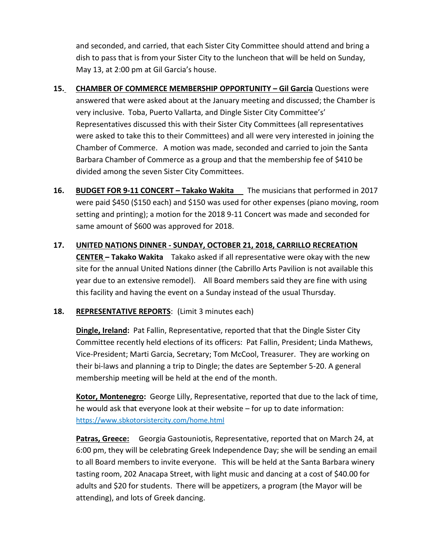and seconded, and carried, that each Sister City Committee should attend and bring a dish to pass that is from your Sister City to the luncheon that will be held on Sunday, May 13, at 2:00 pm at Gil Garcia's house.

- **15. CHAMBER OF COMMERCE MEMBERSHIP OPPORTUNITY – Gil Garcia** Questions were answered that were asked about at the January meeting and discussed; the Chamber is very inclusive. Toba, Puerto Vallarta, and Dingle Sister City Committee's' Representatives discussed this with their Sister City Committees (all representatives were asked to take this to their Committees) and all were very interested in joining the Chamber of Commerce. A motion was made, seconded and carried to join the Santa Barbara Chamber of Commerce as a group and that the membership fee of \$410 be divided among the seven Sister City Committees.
- **16. BUDGET FOR 9-11 CONCERT – Takako Wakita** The musicians that performed in 2017 were paid \$450 (\$150 each) and \$150 was used for other expenses (piano moving, room setting and printing); a motion for the 2018 9-11 Concert was made and seconded for same amount of \$600 was approved for 2018.
- **17. UNITED NATIONS DINNER - SUNDAY, OCTOBER 21, 2018, CARRILLO RECREATION CENTER – Takako Wakita** Takako asked if all representative were okay with the new site for the annual United Nations dinner (the Cabrillo Arts Pavilion is not available this year due to an extensive remodel). All Board members said they are fine with using this facility and having the event on a Sunday instead of the usual Thursday.

### **18. REPRESENTATIVE REPORTS**: (Limit 3 minutes each)

**Dingle, Ireland:** Pat Fallin, Representative, reported that that the Dingle Sister City Committee recently held elections of its officers: Pat Fallin, President; Linda Mathews, Vice-President; Marti Garcia, Secretary; Tom McCool, Treasurer. They are working on their bi-laws and planning a trip to Dingle; the dates are September 5-20. A general membership meeting will be held at the end of the month.

**Kotor, Montenegro:** George Lilly, Representative, reported that due to the lack of time, he would ask that everyone look at their website – for up to date information: https://www.sbkotorsistercity.com/home.html

**Patras, Greece:** Georgia Gastouniotis, Representative, reported that on March 24, at 6:00 pm, they will be celebrating Greek Independence Day; she will be sending an email to all Board members to invite everyone. This will be held at the Santa Barbara winery tasting room, 202 Anacapa Street, with light music and dancing at a cost of \$40.00 for adults and \$20 for students. There will be appetizers, a program (the Mayor will be attending), and lots of Greek dancing.